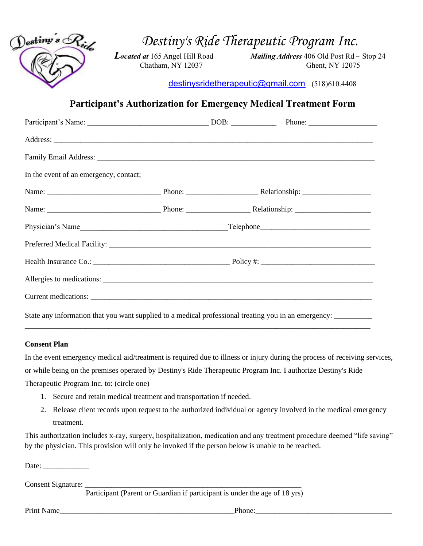

*Destiny's Ride Therapeutic Program Inc.*

*Located at* 165 Angel Hill Road *Mailing Address* 406 Old Post Rd ~ Stop 24 Chatham, NY 12037 Ghent, NY 12075

[destinysridetherapeutic@gmail.com](mailto:destinysridetherapeutic@gmail.com) (518)610.4408

## **Participant's Authorization for Emergency Medical Treatment Form**

| In the event of an emergency, contact;                                                                         |  |  |
|----------------------------------------------------------------------------------------------------------------|--|--|
|                                                                                                                |  |  |
|                                                                                                                |  |  |
|                                                                                                                |  |  |
|                                                                                                                |  |  |
|                                                                                                                |  |  |
|                                                                                                                |  |  |
|                                                                                                                |  |  |
| State any information that you want supplied to a medical professional treating you in an emergency: _________ |  |  |

## **Consent Plan**

In the event emergency medical aid/treatment is required due to illness or injury during the process of receiving services, or while being on the premises operated by Destiny's Ride Therapeutic Program Inc. I authorize Destiny's Ride Therapeutic Program Inc. to: (circle one)

\_\_\_\_\_\_\_\_\_\_\_\_\_\_\_\_\_\_\_\_\_\_\_\_\_\_\_\_\_\_\_\_\_\_\_\_\_\_\_\_\_\_\_\_\_\_\_\_\_\_\_\_\_\_\_\_\_\_\_\_\_\_\_\_\_\_\_\_\_\_\_\_\_\_\_\_\_\_\_\_\_\_\_\_\_\_\_\_\_\_\_

- 1. Secure and retain medical treatment and transportation if needed.
- 2. Release client records upon request to the authorized individual or agency involved in the medical emergency treatment.

This authorization includes x-ray, surgery, hospitalization, medication and any treatment procedure deemed "life saving" by the physician. This provision will only be invoked if the person below is unable to be reached.

Date:

Consent Signature: \_\_\_\_\_\_\_\_\_\_\_\_\_\_\_\_\_\_\_\_\_\_\_\_\_\_\_\_\_\_\_\_\_\_\_\_\_\_\_\_\_\_\_\_\_\_\_\_\_\_\_\_\_\_\_\_\_

Participant (Parent or Guardian if participant is under the age of 18 yrs)

Print Name **Phone: Phone: Phone: Phone: Phone: Phone: Phone: Phone: Phone: Phone: Phone: Phone: Phone: Phone: Phone: Phone: Phone: Phone: Phone: Phone: Phone: Phone: Phone: Pho**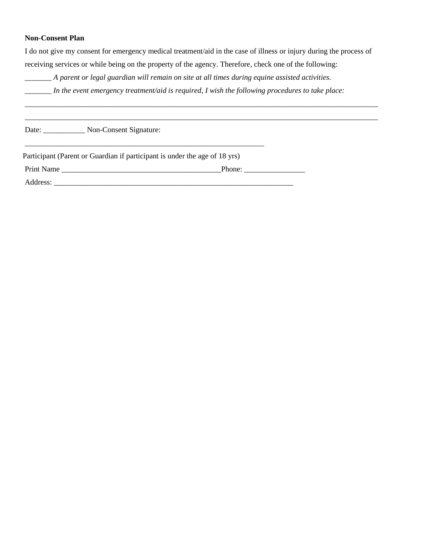## **Non-Consent Plan**

I do not give my consent for emergency medical treatment/aid in the case of illness or injury during the process of receiving services or while being on the property of the agency. Therefore*,* check one of the following:

\_\_\_\_\_\_\_\_\_\_\_\_\_\_\_\_\_\_\_\_\_\_\_\_\_\_\_\_\_\_\_\_\_\_\_\_\_\_\_\_\_\_\_\_\_\_\_\_\_\_\_\_\_\_\_\_\_\_\_\_\_\_\_\_\_\_\_\_\_\_\_\_\_\_\_\_\_\_\_\_\_\_\_\_\_\_\_\_\_\_\_\_\_ \_\_\_\_\_\_\_\_\_\_\_\_\_\_\_\_\_\_\_\_\_\_\_\_\_\_\_\_\_\_\_\_\_\_\_\_\_\_\_\_\_\_\_\_\_\_\_\_\_\_\_\_\_\_\_\_\_\_\_\_\_\_\_\_\_\_\_\_\_\_\_\_\_\_\_\_\_\_\_\_\_\_\_\_\_\_\_\_\_\_\_\_\_

\_\_\_\_\_\_\_ *A parent or legal guardian will remain on site at all times during equine assisted activities.*

*\_\_\_\_\_\_\_ In the event emergency treatment/aid is required, I wish the following procedures to take place:*

Date: Non-Consent Signature:

Participant (Parent or Guardian if participant is under the age of 18 yrs)

\_\_\_\_\_\_\_\_\_\_\_\_\_\_\_\_\_\_\_\_\_\_\_\_\_\_\_\_\_\_\_\_\_\_\_\_\_\_\_\_\_\_\_\_\_\_\_\_\_\_\_\_\_\_\_\_\_\_\_\_\_\_\_

Print Name \_\_\_\_\_\_\_\_\_\_\_\_\_\_\_\_\_\_\_\_\_\_\_\_\_\_\_\_\_\_\_\_\_\_\_\_\_\_\_\_\_\_Phone: \_\_\_\_\_\_\_\_\_\_\_\_\_\_\_\_

Address: \_\_\_\_\_\_\_\_\_\_\_\_\_\_\_\_\_\_\_\_\_\_\_\_\_\_\_\_\_\_\_\_\_\_\_\_\_\_\_\_\_\_\_\_\_\_\_\_\_\_\_\_\_\_\_\_\_\_\_\_\_\_\_